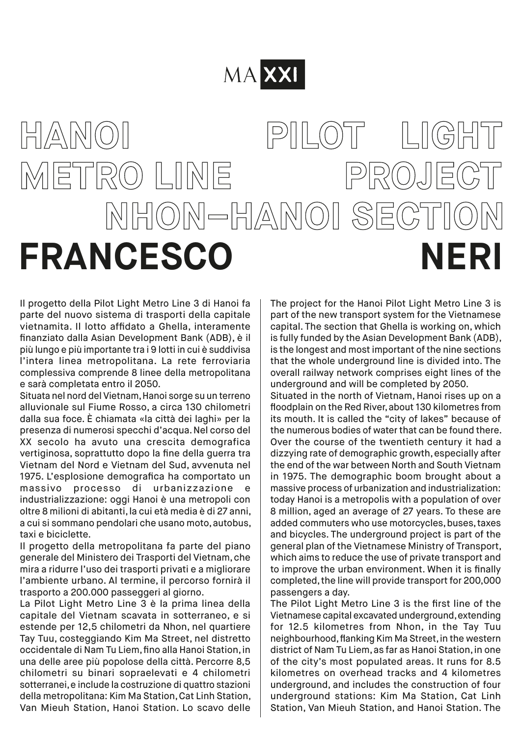## MA XXI

## **HANOI PILOT LIGHT METRO LINE PROJECT NHON–HANOI SECTION FRANCESCO NERI**

Il progetto della Pilot Light Metro Line 3 di Hanoi fa parte del nuovo sistema di trasporti della capitale vietnamita. Il lotto affidato a Ghella, interamente finanziato dalla Asian Development Bank (ADB), è il più lungo e più importante tra i 9 lotti in cui è suddivisa l'intera linea metropolitana. La rete ferroviaria complessiva comprende 8 linee della metropolitana e sarà completata entro il 2050.

Situata nel nord del Vietnam, Hanoi sorge su un terreno alluvionale sul Fiume Rosso, a circa 130 chilometri dalla sua foce. È chiamata «la città dei laghi» per la presenza di numerosi specchi d'acqua. Nel corso del XX secolo ha avuto una crescita demografica vertiginosa, soprattutto dopo la fine della guerra tra Vietnam del Nord e Vietnam del Sud, avvenuta nel 1975. L'esplosione demografica ha comportato un massivo processo di urbanizzazione e industrializzazione: oggi Hanoi è una metropoli con oltre 8 milioni di abitanti, la cui età media è di 27 anni, a cui si sommano pendolari che usano moto, autobus, taxi e biciclette.

Il progetto della metropolitana fa parte del piano generale del Ministero dei Trasporti del Vietnam, che mira a ridurre l'uso dei trasporti privati e a migliorare l'ambiente urbano. Al termine, il percorso fornirà il trasporto a 200.000 passeggeri al giorno.

La Pilot Light Metro Line 3 è la prima linea della capitale del Vietnam scavata in sotterraneo, e si estende per 12,5 chilometri da Nhon, nel quartiere Tay Tuu, costeggiando Kim Ma Street, nel distretto occidentale di Nam Tu Liem, fino alla Hanoi Station, in una delle aree più popolose della città. Percorre 8,5 chilometri su binari sopraelevati e 4 chilometri sotterranei, e include la costruzione di quattro stazioni della metropolitana: Kim Ma Station, Cat Linh Station, Van Mieuh Station, Hanoi Station. Lo scavo delle

The project for the Hanoi Pilot Light Metro Line 3 is part of the new transport system for the Vietnamese capital. The section that Ghella is working on, which is fully funded by the Asian Development Bank (ADB), is the longest and most important of the nine sections that the whole underground line is divided into. The overall railway network comprises eight lines of the underground and will be completed by 2050.

Situated in the north of Vietnam, Hanoi rises up on a floodplain on the Red River, about 130 kilometres from its mouth. It is called the "city of lakes" because of the numerous bodies of water that can be found there. Over the course of the twentieth century it had a dizzying rate of demographic growth, especially after the end of the war between North and South Vietnam in 1975. The demographic boom brought about a massive process of urbanization and industrialization: today Hanoi is a metropolis with a population of over 8 million, aged an average of 27 years. To these are added commuters who use motorcycles, buses, taxes and bicycles. The underground project is part of the general plan of the Vietnamese Ministry of Transport, which aims to reduce the use of private transport and to improve the urban environment. When it is finally completed, the line will provide transport for 200,000 passengers a day.

The Pilot Light Metro Line 3 is the first line of the Vietnamese capital excavated underground, extending for 12.5 kilometres from Nhon, in the Tay Tuu neighbourhood, flanking Kim Ma Street, in the western district of Nam Tu Liem, as far as Hanoi Station, in one of the city's most populated areas. It runs for 8.5 kilometres on overhead tracks and 4 kilometres underground, and includes the construction of four underground stations: Kim Ma Station, Cat Linh Station, Van Mieuh Station, and Hanoi Station. The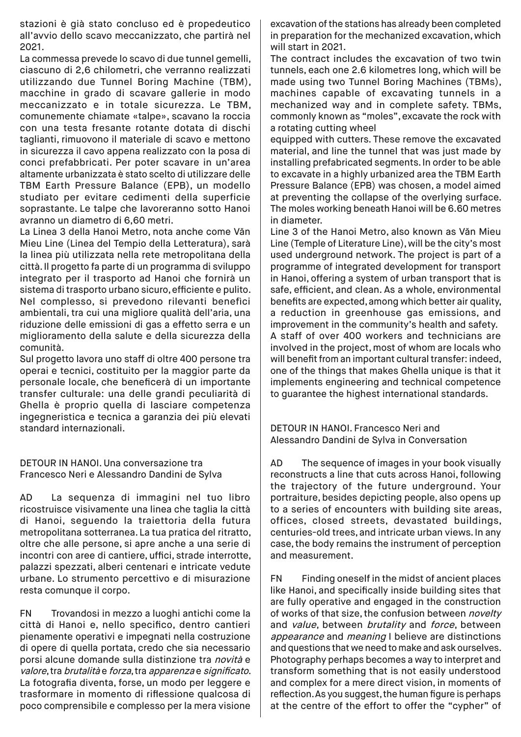stazioni è già stato concluso ed è propedeutico all'avvio dello scavo meccanizzato, che partirà nel 2021.

La commessa prevede lo scavo di due tunnel gemelli, ciascuno di 2,6 chilometri, che verranno realizzati utilizzando due Tunnel Boring Machine (TBM), macchine in grado di scavare gallerie in modo meccanizzato e in totale sicurezza. Le TBM, comunemente chiamate «talpe», scavano la roccia con una testa fresante rotante dotata di dischi taglianti, rimuovono il materiale di scavo e mettono in sicurezza il cavo appena realizzato con la posa di conci prefabbricati. Per poter scavare in un'area altamente urbanizzata è stato scelto di utilizzare delle TBM Earth Pressure Balance (EPB), un modello studiato per evitare cedimenti della superficie soprastante. Le talpe che lavoreranno sotto Hanoi avranno un diametro di 6,60 metri.

La Linea 3 della Hanoi Metro, nota anche come Văn Mieu Line (Linea del Tempio della Letteratura), sarà la linea più utilizzata nella rete metropolitana della città. Il progetto fa parte di un programma di sviluppo integrato per il trasporto ad Hanoi che fornirà un sistema di trasporto urbano sicuro, efficiente e pulito. Nel complesso, si prevedono rilevanti benefìci ambientali, tra cui una migliore qualità dell'aria, una riduzione delle emissioni di gas a effetto serra e un miglioramento della salute e della sicurezza della comunità.

Sul progetto lavora uno staff di oltre 400 persone tra operai e tecnici, costituito per la maggior parte da personale locale, che beneficerà di un importante transfer culturale: una delle grandi peculiarità di Ghella è proprio quella di lasciare competenza ingegneristica e tecnica a garanzia dei più elevati standard internazionali.

DETOUR IN HANOI. Una conversazione tra Francesco Neri e Alessandro Dandini de Sylva

AD La sequenza di immagini nel tuo libro ricostruisce visivamente una linea che taglia la città di Hanoi, seguendo la traiettoria della futura metropolitana sotterranea. La tua pratica del ritratto, oltre che alle persone, si apre anche a una serie di incontri con aree di cantiere, uffici, strade interrotte, palazzi spezzati, alberi centenari e intricate vedute urbane. Lo strumento percettivo e di misurazione resta comunque il corpo.

FN Trovandosi in mezzo a luoghi antichi come la città di Hanoi e, nello specifico, dentro cantieri pienamente operativi e impegnati nella costruzione di opere di quella portata, credo che sia necessario porsi alcune domande sulla distinzione tra novità e valore, tra brutalità e forza, tra apparenza e significato. La fotografia diventa, forse, un modo per leggere e trasformare in momento di riflessione qualcosa di poco comprensibile e complesso per la mera visione excavation of the stations has already been completed in preparation for the mechanized excavation, which will start in 2021.

The contract includes the excavation of two twin tunnels, each one 2.6 kilometres long, which will be made using two Tunnel Boring Machines (TBMs), machines capable of excavating tunnels in a mechanized way and in complete safety. TBMs, commonly known as "moles", excavate the rock with a rotating cutting wheel

equipped with cutters. These remove the excavated material, and line the tunnel that was just made by installing prefabricated segments. In order to be able to excavate in a highly urbanized area the TBM Earth Pressure Balance (EPB) was chosen, a model aimed at preventing the collapse of the overlying surface. The moles working beneath Hanoi will be 6.60 metres in diameter.

Line 3 of the Hanoi Metro, also known as Văn Mieu Line (Temple of Literature Line), will be the city's most used underground network. The project is part of a programme of integrated development for transport in Hanoi, offering a system of urban transport that is safe, efficient, and clean. As a whole, environmental benefits are expected, among which better air quality, a reduction in greenhouse gas emissions, and improvement in the community's health and safety. A staff of over 400 workers and technicians are involved in the project, most of whom are locals who will benefit from an important cultural transfer: indeed, one of the things that makes Ghella unique is that it implements engineering and technical competence to guarantee the highest international standards.

DETOUR IN HANOI. Francesco Neri and Alessandro Dandini de Sylva in Conversation

AD The sequence of images in your book visually reconstructs a line that cuts across Hanoi, following the trajectory of the future underground. Your portraiture, besides depicting people, also opens up to a series of encounters with building site areas, offices, closed streets, devastated buildings, centuries-old trees, and intricate urban views. In any case, the body remains the instrument of perception and measurement.

FN Finding oneself in the midst of ancient places like Hanoi, and specifically inside building sites that are fully operative and engaged in the construction of works of that size, the confusion between novelty and value, between brutality and force, between appearance and meaning I believe are distinctions and questions that we need to make and ask ourselves. Photography perhaps becomes a way to interpret and transform something that is not easily understood and complex for a mere direct vision, in moments of reflection. As you suggest, the human figure is perhaps at the centre of the effort to offer the "cypher" of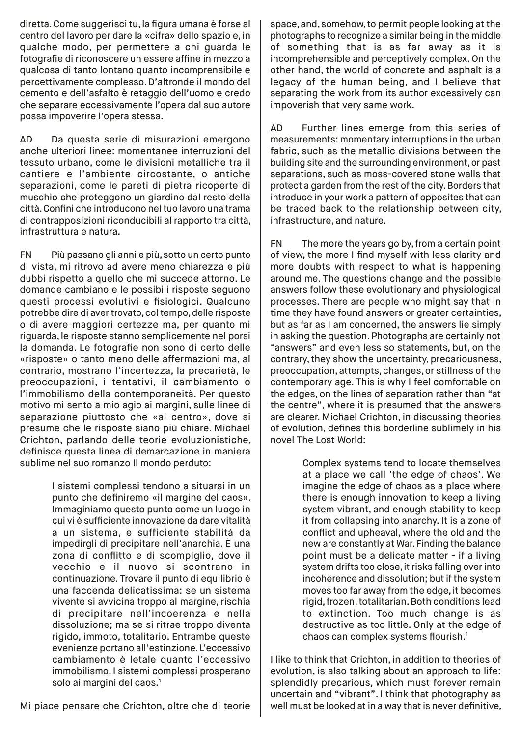diretta. Come suggerisci tu, la figura umana è forse al centro del lavoro per dare la «cifra» dello spazio e, in qualche modo, per permettere a chi guarda le fotografie di riconoscere un essere affine in mezzo a qualcosa di tanto lontano quanto incomprensibile e percettivamente complesso. D'altronde il mondo del cemento e dell'asfalto è retaggio dell'uomo e credo che separare eccessivamente l'opera dal suo autore possa impoverire l'opera stessa.

AD Da questa serie di misurazioni emergono anche ulteriori linee: momentanee interruzioni del tessuto urbano, come le divisioni metalliche tra il cantiere e l'ambiente circostante, o antiche separazioni, come le pareti di pietra ricoperte di muschio che proteggono un giardino dal resto della città. Confini che introducono nel tuo lavoro una trama di contrapposizioni riconducibili al rapporto tra città, infrastruttura e natura.

FN Più passano gli anni e più, sotto un certo punto di vista, mi ritrovo ad avere meno chiarezza e più dubbi rispetto a quello che mi succede attorno. Le domande cambiano e le possibili risposte seguono questi processi evolutivi e fisiologici. Qualcuno potrebbe dire di aver trovato, col tempo, delle risposte o di avere maggiori certezze ma, per quanto mi riguarda, le risposte stanno semplicemente nel porsi la domanda. Le fotografie non sono di certo delle «risposte» o tanto meno delle affermazioni ma, al contrario, mostrano l'incertezza, la precarietà, le preoccupazioni, i tentativi, il cambiamento o l'immobilismo della contemporaneità. Per questo motivo mi sento a mio agio ai margini, sulle linee di separazione piuttosto che «al centro», dove si presume che le risposte siano più chiare. Michael Crichton, parlando delle teorie evoluzionistiche, definisce questa linea di demarcazione in maniera sublime nel suo romanzo Il mondo perduto:

> I sistemi complessi tendono a situarsi in un punto che definiremo «il margine del caos». Immaginiamo questo punto come un luogo in cui vi è sufficiente innovazione da dare vitalità a un sistema, e sufficiente stabilità da impedirgli di precipitare nell'anarchia. È una zona di conflitto e di scompiglio, dove il vecchio e il nuovo si scontrano in continuazione. Trovare il punto di equilibrio è una faccenda delicatissima: se un sistema vivente si avvicina troppo al margine, rischia di precipitare nell'incoerenza e nella dissoluzione; ma se si ritrae troppo diventa rigido, immoto, totalitario. Entrambe queste evenienze portano all'estinzione. L'eccessivo cambiamento è letale quanto l'eccessivo immobilismo. I sistemi complessi prosperano solo ai margini del caos.<sup>1</sup>

space, and, somehow, to permit people looking at the photographs to recognize a similar being in the middle of something that is as far away as it is incomprehensible and perceptively complex. On the other hand, the world of concrete and asphalt is a legacy of the human being, and I believe that separating the work from its author excessively can impoverish that very same work.

AD Further lines emerge from this series of measurements: momentary interruptions in the urban fabric, such as the metallic divisions between the building site and the surrounding environment, or past separations, such as moss-covered stone walls that protect a garden from the rest of the city. Borders that introduce in your work a pattern of opposites that can be traced back to the relationship between city, infrastructure, and nature.

FN The more the years go by, from a certain point of view, the more I find myself with less clarity and more doubts with respect to what is happening around me. The questions change and the possible answers follow these evolutionary and physiological processes. There are people who might say that in time they have found answers or greater certainties, but as far as I am concerned, the answers lie simply in asking the question. Photographs are certainly not "answers" and even less so statements, but, on the contrary, they show the uncertainty, precariousness, preoccupation, attempts, changes, or stillness of the contemporary age. This is why I feel comfortable on the edges, on the lines of separation rather than "at the centre", where it is presumed that the answers are clearer. Michael Crichton, in discussing theories of evolution, defines this borderline sublimely in his novel The Lost World:

> Complex systems tend to locate themselves at a place we call 'the edge of chaos'. We imagine the edge of chaos as a place where there is enough innovation to keep a living system vibrant, and enough stability to keep it from collapsing into anarchy. It is a zone of conflict and upheaval, where the old and the new are constantly at War. Finding the balance point must be a delicate matter - if a living system drifts too close, it risks falling over into incoherence and dissolution; but if the system moves too far away from the edge, it becomes rigid, frozen, totalitarian. Both conditions lead to extinction. Too much change is as destructive as too little. Only at the edge of chaos can complex systems flourish.1

I like to think that Crichton, in addition to theories of evolution, is also talking about an approach to life: splendidly precarious, which must forever remain uncertain and "vibrant". I think that photography as well must be looked at in a way that is never definitive,

Mi piace pensare che Crichton, oltre che di teorie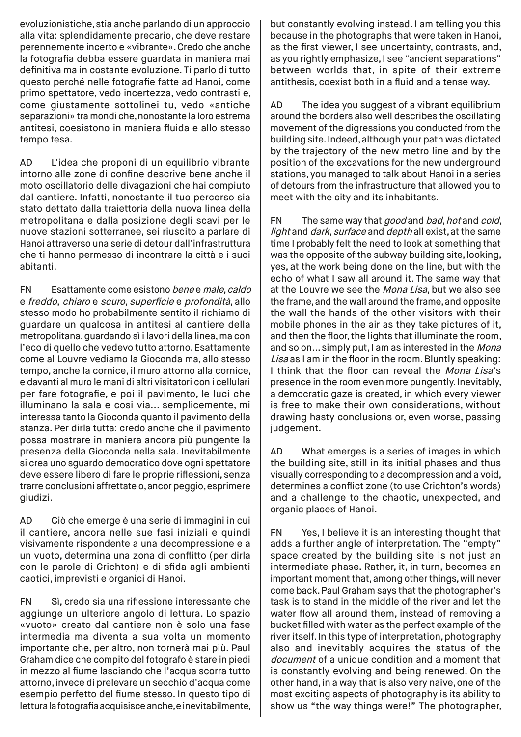evoluzionistiche, stia anche parlando di un approccio alla vita: splendidamente precario, che deve restare perennemente incerto e «vibrante». Credo che anche la fotografia debba essere guardata in maniera mai definitiva ma in costante evoluzione. Ti parlo di tutto questo perché nelle fotografie fatte ad Hanoi, come primo spettatore, vedo incertezza, vedo contrasti e, come giustamente sottolinei tu, vedo «antiche separazioni» tra mondi che, nonostante la loro estrema antitesi, coesistono in maniera fluida e allo stesso tempo tesa.

AD L'idea che proponi di un equilibrio vibrante intorno alle zone di confine descrive bene anche il moto oscillatorio delle divagazioni che hai compiuto dal cantiere. Infatti, nonostante il tuo percorso sia stato dettato dalla traiettoria della nuova linea della metropolitana e dalla posizione degli scavi per le nuove stazioni sotterranee, sei riuscito a parlare di Hanoi attraverso una serie di detour dall'infrastruttura che ti hanno permesso di incontrare la città e i suoi abitanti.

FN Esattamente come esistono bene e male, caldo e freddo, chiaro e scuro, superficie e profondità, allo stesso modo ho probabilmente sentito il richiamo di guardare un qualcosa in antitesi al cantiere della metropolitana, guardando sì i lavori della linea, ma con l'eco di quello che vedevo tutto attorno. Esattamente come al Louvre vediamo la Gioconda ma, allo stesso tempo, anche la cornice, il muro attorno alla cornice, e davanti al muro le mani di altri visitatori con i cellulari per fare fotografie, e poi il pavimento, le luci che illuminano la sala e cosi via... semplicemente, mi interessa tanto la Gioconda quanto il pavimento della stanza. Per dirla tutta: credo anche che il pavimento possa mostrare in maniera ancora più pungente la presenza della Gioconda nella sala. Inevitabilmente si crea uno sguardo democratico dove ogni spettatore deve essere libero di fare le proprie riflessioni, senza trarre conclusioni affrettate o, ancor peggio, esprimere giudizi.

AD Ciò che emerge è una serie di immagini in cui il cantiere, ancora nelle sue fasi iniziali e quindi visivamente rispondente a una decompressione e a un vuoto, determina una zona di conflitto (per dirla con le parole di Crichton) e di sfida agli ambienti caotici, imprevisti e organici di Hanoi.

FN Sì, credo sia una riflessione interessante che aggiunge un ulteriore angolo di lettura. Lo spazio «vuoto» creato dal cantiere non è solo una fase intermedia ma diventa a sua volta un momento importante che, per altro, non tornerà mai più. Paul Graham dice che compito del fotografo è stare in piedi in mezzo al fiume lasciando che l'acqua scorra tutto attorno, invece di prelevare un secchio d'acqua come esempio perfetto del fiume stesso. In questo tipo di lettura la fotografia acquisisce anche, e inevitabilmente,

but constantly evolving instead. I am telling you this because in the photographs that were taken in Hanoi, as the first viewer, I see uncertainty, contrasts, and, as you rightly emphasize, I see "ancient separations" between worlds that, in spite of their extreme antithesis, coexist both in a fluid and a tense way.

AD The idea you suggest of a vibrant equilibrium around the borders also well describes the oscillating movement of the digressions you conducted from the building site. Indeed, although your path was dictated by the trajectory of the new metro line and by the position of the excavations for the new underground stations, you managed to talk about Hanoi in a series of detours from the infrastructure that allowed you to meet with the city and its inhabitants.

FN The same way that good and bad, hot and cold, light and dark, surface and depth all exist, at the same time I probably felt the need to look at something that was the opposite of the subway building site, looking, yes, at the work being done on the line, but with the echo of what I saw all around it. The same way that at the Louvre we see the Mona Lisa, but we also see the frame, and the wall around the frame, and opposite the wall the hands of the other visitors with their mobile phones in the air as they take pictures of it, and then the floor, the lights that illuminate the room, and so on... simply put, I am as interested in the Mona Lisa as I am in the floor in the room. Bluntly speaking: I think that the floor can reveal the Mona Lisa's presence in the room even more pungently. Inevitably, a democratic gaze is created, in which every viewer is free to make their own considerations, without drawing hasty conclusions or, even worse, passing judgement.

AD What emerges is a series of images in which the building site, still in its initial phases and thus visually corresponding to a decompression and a void, determines a conflict zone (to use Crichton's words) and a challenge to the chaotic, unexpected, and organic places of Hanoi.

FN Yes, I believe it is an interesting thought that adds a further angle of interpretation. The "empty" space created by the building site is not just an intermediate phase. Rather, it, in turn, becomes an important moment that, among other things, will never come back. Paul Graham says that the photographer's task is to stand in the middle of the river and let the water flow all around them, instead of removing a bucket filled with water as the perfect example of the river itself. In this type of interpretation, photography also and inevitably acquires the status of the document of a unique condition and a moment that is constantly evolving and being renewed. On the other hand, in a way that is also very naive, one of the most exciting aspects of photography is its ability to show us "the way things were!" The photographer,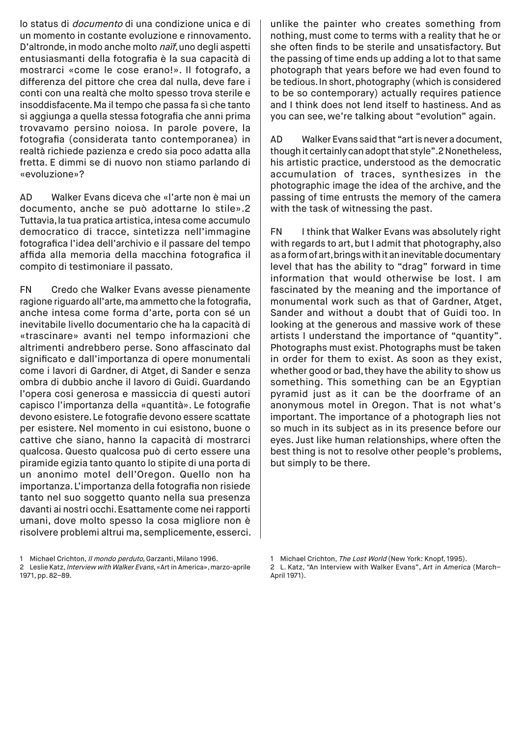lo status di documento di una condizione unica e di un momento in costante evoluzione e rinnovamento. D'altronde, in modo anche molto naïf, uno degli aspetti entusiasmanti della fotografia è la sua capacità di mostrarci «come le cose erano!». Il fotografo, a differenza del pittore che crea dal nulla, deve fare i conti con una realtà che molto spesso trova sterile e insoddisfacente. Ma il tempo che passa fa sì che tanto si aggiunga a quella stessa fotografia che anni prima trovavamo persino noiosa. In parole povere, la fotografia (considerata tanto contemporanea) in realtà richiede pazienza e credo sia poco adatta alla fretta. E dimmi se di nuovo non stiamo parlando di «evoluzione»?

AD Walker Evans diceva che «l'arte non è mai un documento, anche se può adottarne lo stile».2 Tuttavia, la tua pratica artistica, intesa come accumulo democratico di tracce, sintetizza nell'immagine fotografica l'idea dell'archivio e il passare del tempo affida alla memoria della macchina fotografica il compito di testimoniare il passato.

FN Credo che Walker Evans avesse pienamente ragione riguardo all'arte, ma ammetto che la fotografia, anche intesa come forma d'arte, porta con sé un inevitabile livello documentario che ha la capacità di «trascinare» avanti nel tempo informazioni che altrimenti andrebbero perse. Sono affascinato dal significato e dall'importanza di opere monumentali come i lavori di Gardner, di Atget, di Sander e senza ombra di dubbio anche il lavoro di Guidi. Guardando l'opera cosi generosa e massiccia di questi autori capisco l'importanza della «quantità». Le fotografie devono esistere. Le fotografie devono essere scattate per esistere. Nel momento in cui esistono, buone o cattive che siano, hanno la capacità di mostrarci qualcosa. Questo qualcosa può di certo essere una piramide egizia tanto quanto lo stipite di una porta di un anonimo motel dell'Oregon. Quello non ha importanza. L'importanza della fotografia non risiede tanto nel suo soggetto quanto nella sua presenza davanti ai nostri occhi. Esattamente come nei rapporti umani, dove molto spesso la cosa migliore non è risolvere problemi altrui ma, semplicemente, esserci. unlike the painter who creates something from nothing, must come to terms with a reality that he or she often finds to be sterile and unsatisfactory. But the passing of time ends up adding a lot to that same photograph that years before we had even found to be tedious. In short, photography (which is considered to be so contemporary) actually requires patience and I think does not lend itself to hastiness. And as you can see, we're talking about "evolution" again.

AD Walker Evans said that "art is never a document, though it certainly can adopt that style".2 Nonetheless, his artistic practice, understood as the democratic accumulation of traces, synthesizes in the photographic image the idea of the archive, and the passing of time entrusts the memory of the camera with the task of witnessing the past.

FN I think that Walker Evans was absolutely right with regards to art, but I admit that photography, also as a form of art, brings with it an inevitable documentary level that has the ability to "drag" forward in time information that would otherwise be lost. I am fascinated by the meaning and the importance of monumental work such as that of Gardner, Atget, Sander and without a doubt that of Guidi too. In looking at the generous and massive work of these artists I understand the importance of "quantity". Photographs must exist. Photographs must be taken in order for them to exist. As soon as they exist, whether good or bad, they have the ability to show us something. This something can be an Egyptian pyramid just as it can be the doorframe of an anonymous motel in Oregon. That is not what's important. The importance of a photograph lies not so much in its subject as in its presence before our eyes. Just like human relationships, where often the best thing is not to resolve other people's problems, but simply to be there.

<sup>1</sup> Michael Crichton, Il mondo perduto, Garzanti, Milano 1996.

<sup>2</sup> Leslie Katz, Interview with Walker Evans, «Art in America», marzo-aprile 1971, pp. 82–89.

<sup>1</sup> Michael Crichton, The Lost World (New York: Knopf, 1995).

<sup>2</sup> L. Katz, "An Interview with Walker Evans", Art in America (March– April 1971).